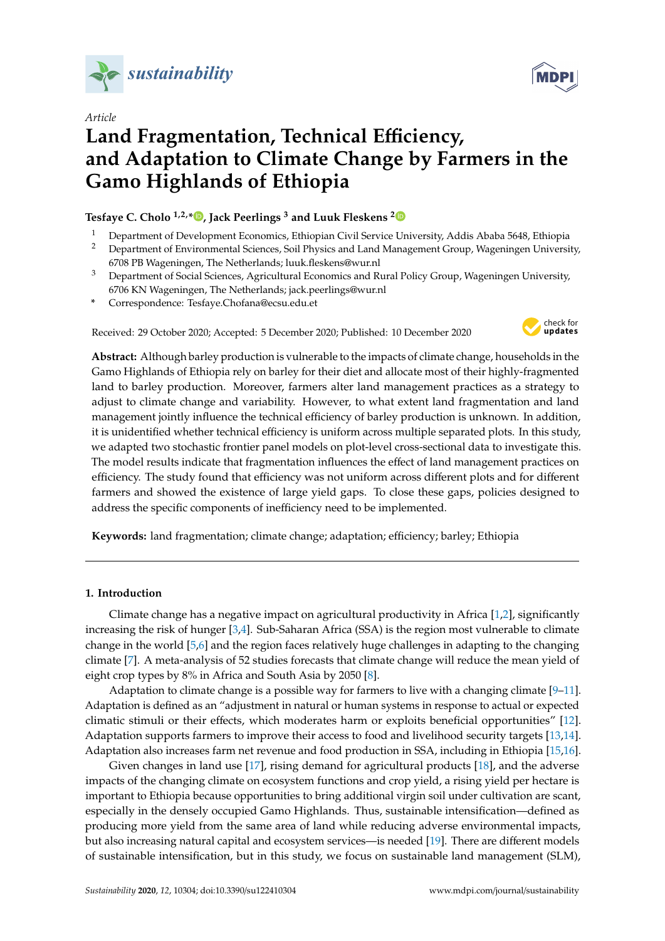

*Article*

# **Land Fragmentation, Technical E**ffi**ciency, and Adaptation to Climate Change by Farmers in the Gamo Highlands of Ethiopia**

**Tesfaye C. Cholo 1,2,[\\*](https://orcid.org/0000-0001-5094-4710) , Jack Peerlings <sup>3</sup> and Luuk Fleskens [2](https://orcid.org/0000-0001-6843-0910)**

- <sup>1</sup> Department of Development Economics, Ethiopian Civil Service University, Addis Ababa 5648, Ethiopia
- <sup>2</sup> Department of Environmental Sciences, Soil Physics and Land Management Group, Wageningen University, 6708 PB Wageningen, The Netherlands; luuk.fleskens@wur.nl
- <sup>3</sup> Department of Social Sciences, Agricultural Economics and Rural Policy Group, Wageningen University, 6706 KN Wageningen, The Netherlands; jack.peerlings@wur.nl
- **\*** Correspondence: Tesfaye.Chofana@ecsu.edu.et

Received: 29 October 2020; Accepted: 5 December 2020; Published: 10 December 2020



**Abstract:** Although barley production is vulnerable to the impacts of climate change, households in the Gamo Highlands of Ethiopia rely on barley for their diet and allocate most of their highly-fragmented land to barley production. Moreover, farmers alter land management practices as a strategy to adjust to climate change and variability. However, to what extent land fragmentation and land management jointly influence the technical efficiency of barley production is unknown. In addition, it is unidentified whether technical efficiency is uniform across multiple separated plots. In this study, we adapted two stochastic frontier panel models on plot-level cross-sectional data to investigate this. The model results indicate that fragmentation influences the effect of land management practices on efficiency. The study found that efficiency was not uniform across different plots and for different farmers and showed the existence of large yield gaps. To close these gaps, policies designed to address the specific components of inefficiency need to be implemented.

**Keywords:** land fragmentation; climate change; adaptation; efficiency; barley; Ethiopia

# **1. Introduction**

Climate change has a negative impact on agricultural productivity in Africa [\[1](#page-11-0)[,2\]](#page-11-1), significantly increasing the risk of hunger [\[3,](#page-11-2)[4\]](#page-11-3). Sub-Saharan Africa (SSA) is the region most vulnerable to climate change in the world [\[5,](#page-11-4)[6\]](#page-12-0) and the region faces relatively huge challenges in adapting to the changing climate [\[7\]](#page-12-1). A meta-analysis of 52 studies forecasts that climate change will reduce the mean yield of eight crop types by 8% in Africa and South Asia by 2050 [\[8\]](#page-12-2).

Adaptation to climate change is a possible way for farmers to live with a changing climate  $[9-11]$  $[9-11]$ . Adaptation is defined as an "adjustment in natural or human systems in response to actual or expected climatic stimuli or their effects, which moderates harm or exploits beneficial opportunities" [\[12\]](#page-12-5). Adaptation supports farmers to improve their access to food and livelihood security targets [\[13,](#page-12-6)[14\]](#page-12-7). Adaptation also increases farm net revenue and food production in SSA, including in Ethiopia [\[15,](#page-12-8)[16\]](#page-12-9).

Given changes in land use [\[17\]](#page-12-10), rising demand for agricultural products [\[18\]](#page-12-11), and the adverse impacts of the changing climate on ecosystem functions and crop yield, a rising yield per hectare is important to Ethiopia because opportunities to bring additional virgin soil under cultivation are scant, especially in the densely occupied Gamo Highlands. Thus, sustainable intensification—defined as producing more yield from the same area of land while reducing adverse environmental impacts, but also increasing natural capital and ecosystem services—is needed [\[19\]](#page-12-12). There are different models of sustainable intensification, but in this study, we focus on sustainable land management (SLM),

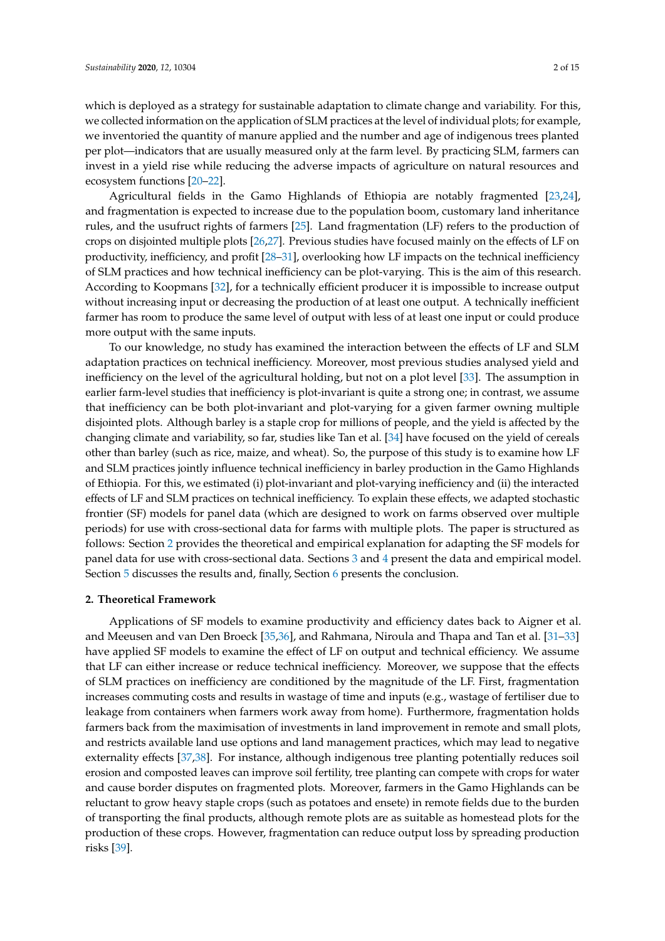which is deployed as a strategy for sustainable adaptation to climate change and variability. For this, we collected information on the application of SLM practices at the level of individual plots; for example, we inventoried the quantity of manure applied and the number and age of indigenous trees planted per plot—indicators that are usually measured only at the farm level. By practicing SLM, farmers can invest in a yield rise while reducing the adverse impacts of agriculture on natural resources and ecosystem functions [\[20](#page-12-13)[–22\]](#page-12-14).

Agricultural fields in the Gamo Highlands of Ethiopia are notably fragmented [\[23,](#page-12-15)[24\]](#page-12-16), and fragmentation is expected to increase due to the population boom, customary land inheritance rules, and the usufruct rights of farmers [\[25\]](#page-12-17). Land fragmentation (LF) refers to the production of crops on disjointed multiple plots [\[26,](#page-12-18)[27\]](#page-12-19). Previous studies have focused mainly on the effects of LF on productivity, inefficiency, and profit [\[28](#page-12-20)[–31\]](#page-13-0), overlooking how LF impacts on the technical inefficiency of SLM practices and how technical inefficiency can be plot-varying. This is the aim of this research. According to Koopmans [\[32\]](#page-13-1), for a technically efficient producer it is impossible to increase output without increasing input or decreasing the production of at least one output. A technically inefficient farmer has room to produce the same level of output with less of at least one input or could produce more output with the same inputs.

To our knowledge, no study has examined the interaction between the effects of LF and SLM adaptation practices on technical inefficiency. Moreover, most previous studies analysed yield and inefficiency on the level of the agricultural holding, but not on a plot level [\[33\]](#page-13-2). The assumption in earlier farm-level studies that inefficiency is plot-invariant is quite a strong one; in contrast, we assume that inefficiency can be both plot-invariant and plot-varying for a given farmer owning multiple disjointed plots. Although barley is a staple crop for millions of people, and the yield is affected by the changing climate and variability, so far, studies like Tan et al. [\[34\]](#page-13-3) have focused on the yield of cereals other than barley (such as rice, maize, and wheat). So, the purpose of this study is to examine how LF and SLM practices jointly influence technical inefficiency in barley production in the Gamo Highlands of Ethiopia. For this, we estimated (i) plot-invariant and plot-varying inefficiency and (ii) the interacted effects of LF and SLM practices on technical inefficiency. To explain these effects, we adapted stochastic frontier (SF) models for panel data (which are designed to work on farms observed over multiple periods) for use with cross-sectional data for farms with multiple plots. The paper is structured as follows: Section [2](#page-1-0) provides the theoretical and empirical explanation for adapting the SF models for panel data for use with cross-sectional data. Sections [3](#page-4-0) and [4](#page-6-0) present the data and empirical model. Section [5](#page-7-0) discusses the results and, finally, Section [6](#page-10-0) presents the conclusion.

#### <span id="page-1-0"></span>**2. Theoretical Framework**

Applications of SF models to examine productivity and efficiency dates back to Aigner et al. and Meeusen and van Den Broeck [\[35,](#page-13-4)[36\]](#page-13-5), and Rahmana, Niroula and Thapa and Tan et al. [\[31](#page-13-0)[–33\]](#page-13-2) have applied SF models to examine the effect of LF on output and technical efficiency. We assume that LF can either increase or reduce technical inefficiency. Moreover, we suppose that the effects of SLM practices on inefficiency are conditioned by the magnitude of the LF. First, fragmentation increases commuting costs and results in wastage of time and inputs (e.g., wastage of fertiliser due to leakage from containers when farmers work away from home). Furthermore, fragmentation holds farmers back from the maximisation of investments in land improvement in remote and small plots, and restricts available land use options and land management practices, which may lead to negative externality effects [\[37,](#page-13-6)[38\]](#page-13-7). For instance, although indigenous tree planting potentially reduces soil erosion and composted leaves can improve soil fertility, tree planting can compete with crops for water and cause border disputes on fragmented plots. Moreover, farmers in the Gamo Highlands can be reluctant to grow heavy staple crops (such as potatoes and ensete) in remote fields due to the burden of transporting the final products, although remote plots are as suitable as homestead plots for the production of these crops. However, fragmentation can reduce output loss by spreading production risks [\[39\]](#page-13-8).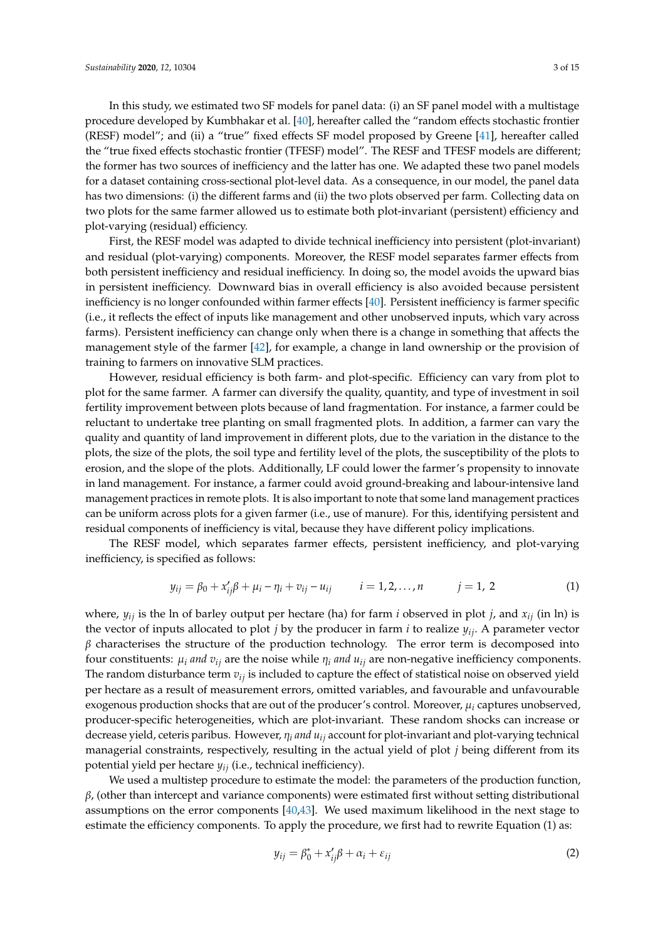In this study, we estimated two SF models for panel data: (i) an SF panel model with a multistage procedure developed by Kumbhakar et al. [\[40\]](#page-13-9), hereafter called the "random effects stochastic frontier (RESF) model"; and (ii) a "true" fixed effects SF model proposed by Greene [\[41\]](#page-13-10), hereafter called the "true fixed effects stochastic frontier (TFESF) model". The RESF and TFESF models are different; the former has two sources of inefficiency and the latter has one. We adapted these two panel models for a dataset containing cross-sectional plot-level data. As a consequence, in our model, the panel data has two dimensions: (i) the different farms and (ii) the two plots observed per farm. Collecting data on two plots for the same farmer allowed us to estimate both plot-invariant (persistent) efficiency and plot-varying (residual) efficiency.

First, the RESF model was adapted to divide technical inefficiency into persistent (plot-invariant) and residual (plot-varying) components. Moreover, the RESF model separates farmer effects from both persistent inefficiency and residual inefficiency. In doing so, the model avoids the upward bias in persistent inefficiency. Downward bias in overall efficiency is also avoided because persistent inefficiency is no longer confounded within farmer effects [\[40\]](#page-13-9). Persistent inefficiency is farmer specific (i.e., it reflects the effect of inputs like management and other unobserved inputs, which vary across farms). Persistent inefficiency can change only when there is a change in something that affects the management style of the farmer [\[42\]](#page-13-11), for example, a change in land ownership or the provision of training to farmers on innovative SLM practices.

However, residual efficiency is both farm- and plot-specific. Efficiency can vary from plot to plot for the same farmer. A farmer can diversify the quality, quantity, and type of investment in soil fertility improvement between plots because of land fragmentation. For instance, a farmer could be reluctant to undertake tree planting on small fragmented plots. In addition, a farmer can vary the quality and quantity of land improvement in different plots, due to the variation in the distance to the plots, the size of the plots, the soil type and fertility level of the plots, the susceptibility of the plots to erosion, and the slope of the plots. Additionally, LF could lower the farmer's propensity to innovate in land management. For instance, a farmer could avoid ground-breaking and labour-intensive land management practices in remote plots. It is also important to note that some land management practices can be uniform across plots for a given farmer (i.e., use of manure). For this, identifying persistent and residual components of inefficiency is vital, because they have different policy implications.

The RESF model, which separates farmer effects, persistent inefficiency, and plot-varying inefficiency, is specified as follows:

$$
y_{ij} = \beta_0 + x'_{ij}\beta + \mu_i - \eta_i + v_{ij} - u_{ij} \qquad i = 1, 2, ..., n \qquad j = 1, 2 \qquad (1)
$$

where, *yij* is the ln of barley output per hectare (ha) for farm *i* observed in plot *j*, and *xij* (in ln) is the vector of inputs allocated to plot *j* by the producer in farm *i* to realize *yij*. A parameter vector  $\beta$  characterises the structure of the production technology. The error term is decomposed into four constituents:  $\mu_i$  *and*  $v_{ij}$  are the noise while  $\eta_i$  *and*  $u_{ij}$  are non-negative inefficiency components. The random disturbance term *vij* is included to capture the effect of statistical noise on observed yield per hectare as a result of measurement errors, omitted variables, and favourable and unfavourable exogenous production shocks that are out of the producer's control. Moreover, µ*<sup>i</sup>* captures unobserved, producer-specific heterogeneities, which are plot-invariant. These random shocks can increase or decrease yield, ceteris paribus. However, η*<sup>i</sup> and uij* account for plot-invariant and plot-varying technical managerial constraints, respectively, resulting in the actual yield of plot *j* being different from its potential yield per hectare *yij* (i.e., technical inefficiency).

We used a multistep procedure to estimate the model: the parameters of the production function,  $β$ , (other than intercept and variance components) were estimated first without setting distributional assumptions on the error components [\[40,](#page-13-9)[43\]](#page-13-12). We used maximum likelihood in the next stage to estimate the efficiency components. To apply the procedure, we first had to rewrite Equation (1) as:

$$
y_{ij} = \beta_0^* + x_{ij}'\beta + \alpha_i + \varepsilon_{ij}
$$
 (2)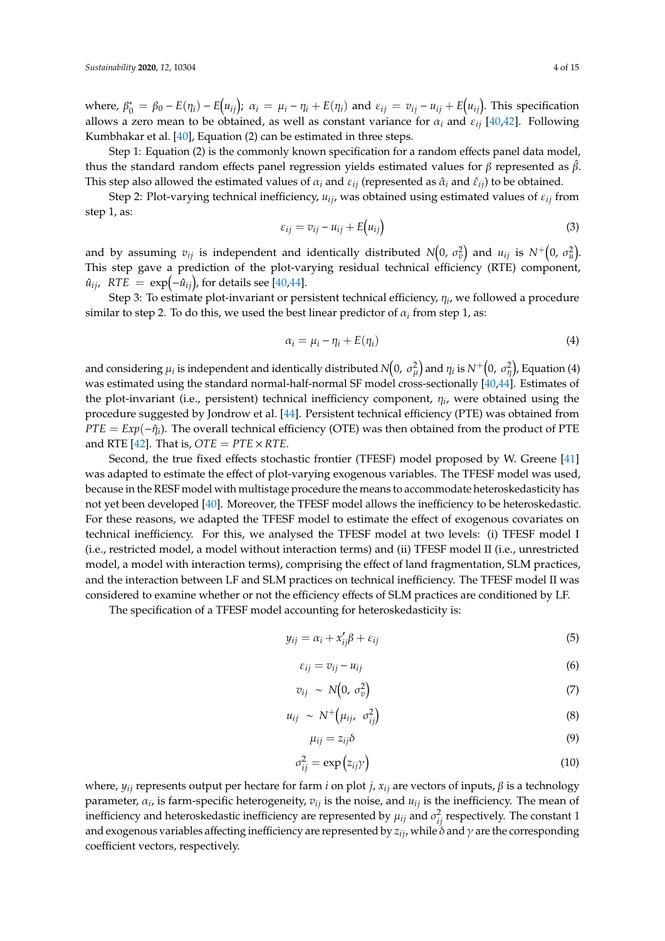where,  $\beta_0^* = \beta_0 - E(\eta_i) - E(u_{ij})$ ;  $\alpha_i = \mu_i - \eta_i + E(\eta_i)$  and  $\varepsilon_{ij} = v_{ij} - u_{ij} + E(u_{ij})$ . This specification allows a zero mean to be obtained, as well as constant variance for  $\alpha_i$  and  $\varepsilon_{ii}$  [\[40](#page-13-9)[,42\]](#page-13-11). Following Kumbhakar et al. [\[40\]](#page-13-9), Equation (2) can be estimated in three steps.

Step 1: Equation (2) is the commonly known specification for a random effects panel data model, thus the standard random effects panel regression yields estimated values for β represented as  $\hat{\beta}$ . This step also allowed the estimated values of  $\alpha_i$  and  $\varepsilon_{ij}$  (represented as  $\hat{\alpha}_i$  and  $\hat{\varepsilon}_{ij}$ ) to be obtained.

Step 2: Plot-varying technical inefficiency,  $u_{ij}$ , was obtained using estimated values of  $\varepsilon_{ij}$  from step 1, as:

$$
\varepsilon_{ij} = v_{ij} - u_{ij} + E(u_{ij})
$$
\n(3)

and by assuming  $v_{ij}$  is independent and identically distributed  $N\!\!\left(0,\,\sigma_v^2\right)$  and  $u_{ij}$  is  $N^+\!\!\left(0,\,\sigma_u^2\right)$ . This step gave a prediction of the plot-varying residual technical efficiency (RTE) component,  $\hat{u}_{ij}$ ,  $RTE = \exp(-\hat{u}_{ij})$ , for details see [\[40](#page-13-9)[,44\]](#page-13-13).

Step 3: To estimate plot-invariant or persistent technical efficiency, η*<sup>i</sup>* , we followed a procedure similar to step 2. To do this, we used the best linear predictor of  $\alpha_i$  from step 1, as:

$$
\alpha_i = \mu_i - \eta_i + E(\eta_i) \tag{4}
$$

and considering  $\mu_i$  is independent and identically distributed  $N\!\!\left(0,\,\sigma_\mu^2\right)$  and  $\eta_i$  is  $N^+\!\!\left(0,\,\sigma_\eta^2\right)$ , Equation (4) was estimated using the standard normal-half-normal SF model cross-sectionally [\[40](#page-13-9)[,44\]](#page-13-13). Estimates of the plot-invariant (i.e., persistent) technical inefficiency component, η*<sup>i</sup>* , were obtained using the procedure suggested by Jondrow et al. [\[44\]](#page-13-13). Persistent technical efficiency (PTE) was obtained from *PTE* =  $Exp(-\hat{\eta}_i)$ . The overall technical efficiency (OTE) was then obtained from the product of PTE and RTE [\[42\]](#page-13-11). That is,  $OTE = PTE \times RTE$ .

Second, the true fixed effects stochastic frontier (TFESF) model proposed by W. Greene [\[41\]](#page-13-10) was adapted to estimate the effect of plot-varying exogenous variables. The TFESF model was used, because in the RESF model with multistage procedure the means to accommodate heteroskedasticity has not yet been developed [\[40\]](#page-13-9). Moreover, the TFESF model allows the inefficiency to be heteroskedastic. For these reasons, we adapted the TFESF model to estimate the effect of exogenous covariates on technical inefficiency. For this, we analysed the TFESF model at two levels: (i) TFESF model I (i.e., restricted model, a model without interaction terms) and (ii) TFESF model II (i.e., unrestricted model, a model with interaction terms), comprising the effect of land fragmentation, SLM practices, and the interaction between LF and SLM practices on technical inefficiency. The TFESF model II was considered to examine whether or not the efficiency effects of SLM practices are conditioned by LF.

The specification of a TFESF model accounting for heteroskedasticity is:

$$
y_{ij} = \alpha_i + x'_{ij}\beta + \varepsilon_{ij}
$$
\n<sup>(5)</sup>

$$
\varepsilon_{ij} = v_{ij} - u_{ij} \tag{6}
$$

$$
v_{ij} \sim N\left(0, \sigma_v^2\right) \tag{7}
$$

$$
u_{ij} \sim N^+ \left(\mu_{ij}, \sigma_{ij}^2\right) \tag{8}
$$

$$
\mu_{ij} = z_{ij}\delta \tag{9}
$$

$$
\sigma_{ij}^2 = \exp(z_{ij}\gamma) \tag{10}
$$

where,  $y_{ij}$  represents output per hectare for farm *i* on plot *j*,  $x_{ij}$  are vectors of inputs, β is a technology parameter, α*<sup>i</sup>* , is farm-specific heterogeneity, *vij* is the noise, and *uij* is the inefficiency. The mean of inefficiency and heteroskedastic inefficiency are represented by  $\mu_{ij}$  and  $\sigma_{ij}^2$  respectively. The constant 1 and exogenous variables affecting inefficiency are represented by  $z_{ij}$ , while  $\delta$  and  $\gamma$  are the corresponding coefficient vectors, respectively.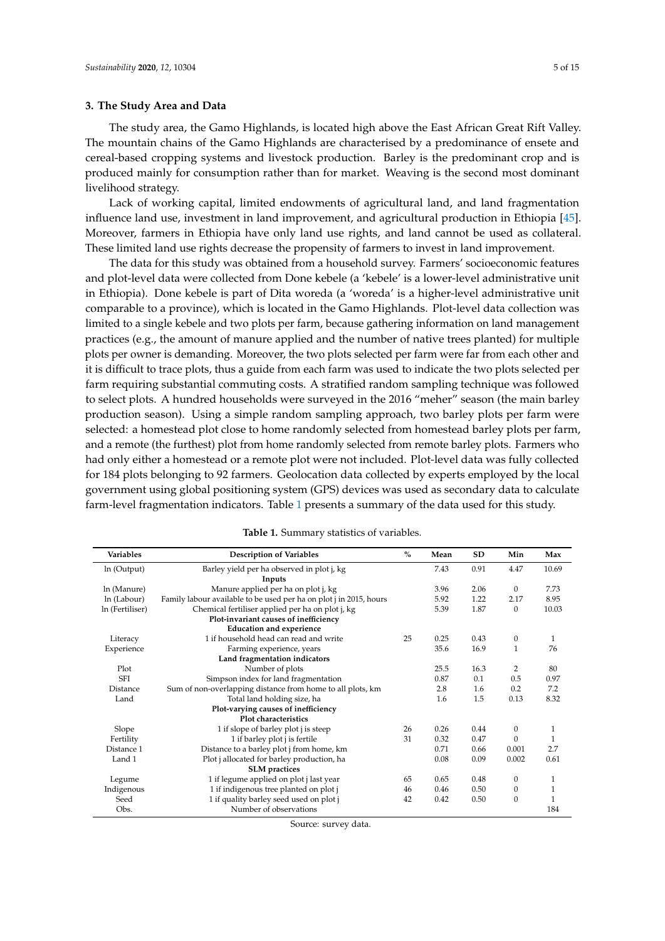## <span id="page-4-0"></span>**3. The Study Area and Data**

The study area, the Gamo Highlands, is located high above the East African Great Rift Valley. The mountain chains of the Gamo Highlands are characterised by a predominance of ensete and cereal-based cropping systems and livestock production. Barley is the predominant crop and is produced mainly for consumption rather than for market. Weaving is the second most dominant livelihood strategy.

Lack of working capital, limited endowments of agricultural land, and land fragmentation influence land use, investment in land improvement, and agricultural production in Ethiopia [\[45\]](#page-13-14). Moreover, farmers in Ethiopia have only land use rights, and land cannot be used as collateral. These limited land use rights decrease the propensity of farmers to invest in land improvement.

The data for this study was obtained from a household survey. Farmers' socioeconomic features and plot-level data were collected from Done kebele (a 'kebele' is a lower-level administrative unit in Ethiopia). Done kebele is part of Dita woreda (a 'woreda' is a higher-level administrative unit comparable to a province), which is located in the Gamo Highlands. Plot-level data collection was limited to a single kebele and two plots per farm, because gathering information on land management practices (e.g., the amount of manure applied and the number of native trees planted) for multiple plots per owner is demanding. Moreover, the two plots selected per farm were far from each other and it is difficult to trace plots, thus a guide from each farm was used to indicate the two plots selected per farm requiring substantial commuting costs. A stratified random sampling technique was followed to select plots. A hundred households were surveyed in the 2016 "meher" season (the main barley production season). Using a simple random sampling approach, two barley plots per farm were selected: a homestead plot close to home randomly selected from homestead barley plots per farm, and a remote (the furthest) plot from home randomly selected from remote barley plots. Farmers who had only either a homestead or a remote plot were not included. Plot-level data was fully collected for 184 plots belonging to 92 farmers. Geolocation data collected by experts employed by the local government using global positioning system (GPS) devices was used as secondary data to calculate farm-level fragmentation indicators. Table [1](#page-4-1) presents a summary of the data used for this study.

<span id="page-4-1"></span>

| <b>Variables</b> | <b>Description of Variables</b>                                    | $\%$ | Mean | <b>SD</b> | Min              | Max          |
|------------------|--------------------------------------------------------------------|------|------|-----------|------------------|--------------|
| In (Output)      | Barley yield per ha observed in plot j, kg                         |      | 7.43 | 0.91      | 4.47             | 10.69        |
|                  | Inputs                                                             |      |      |           |                  |              |
| ln (Manure)      | Manure applied per ha on plot j, kg                                |      | 3.96 | 2.06      | $\mathbf{0}$     | 7.73         |
| ln (Labour)      | Family labour available to be used per ha on plot j in 2015, hours |      | 5.92 | 1.22      | 2.17             | 8.95         |
| In (Fertiliser)  | Chemical fertiliser applied per ha on plot j, kg                   |      | 5.39 | 1.87      | $\mathbf{0}$     | 10.03        |
|                  | Plot-invariant causes of inefficiency                              |      |      |           |                  |              |
|                  | <b>Education and experience</b>                                    |      |      |           |                  |              |
| Literacy         | 1 if household head can read and write                             | 25   | 0.25 | 0.43      | $\boldsymbol{0}$ | $\mathbf{1}$ |
| Experience       | Farming experience, years                                          |      | 35.6 | 16.9      | 1                | 76           |
|                  | Land fragmentation indicators                                      |      |      |           |                  |              |
| Plot             | Number of plots                                                    |      | 25.5 | 16.3      | 2                | 80           |
| <b>SFI</b>       | Simpson index for land fragmentation                               |      | 0.87 | 0.1       | 0.5              | 0.97         |
| <b>Distance</b>  | Sum of non-overlapping distance from home to all plots, km         |      | 2.8  | 1.6       | 0.2              | 7.2          |
| Land             | Total land holding size, ha                                        |      | 1.6  | 1.5       | 0.13             | 8.32         |
|                  | Plot-varying causes of inefficiency                                |      |      |           |                  |              |
|                  | Plot characteristics                                               |      |      |           |                  |              |
| Slope            | 1 if slope of barley plot j is steep                               | 26   | 0.26 | 0.44      | $\boldsymbol{0}$ | 1            |
| Fertility        | 1 if barley plot j is fertile                                      | 31   | 0.32 | 0.47      | $\Omega$         | 1            |
| Distance 1       | Distance to a barley plot j from home, km                          |      | 0.71 | 0.66      | 0.001            | 2.7          |
| Land 1           | Plot j allocated for barley production, ha                         |      | 0.08 | 0.09      | 0.002            | 0.61         |
|                  | <b>SLM</b> practices                                               |      |      |           |                  |              |
| Legume           | 1 if legume applied on plot j last year                            | 65   | 0.65 | 0.48      | $\mathbf{0}$     | 1            |
| Indigenous       | 1 if indigenous tree planted on plot j                             | 46   | 0.46 | 0.50      | $\mathbf{0}$     | 1            |
| Seed             | 1 if quality barley seed used on plot j                            | 42   | 0.42 | 0.50      | $\theta$         | 1            |
| Obs.             | Number of observations                                             |      |      |           |                  | 184          |

| Table 1. Summary statistics of variables. |  |  |  |  |  |
|-------------------------------------------|--|--|--|--|--|
|-------------------------------------------|--|--|--|--|--|

Source: survey data.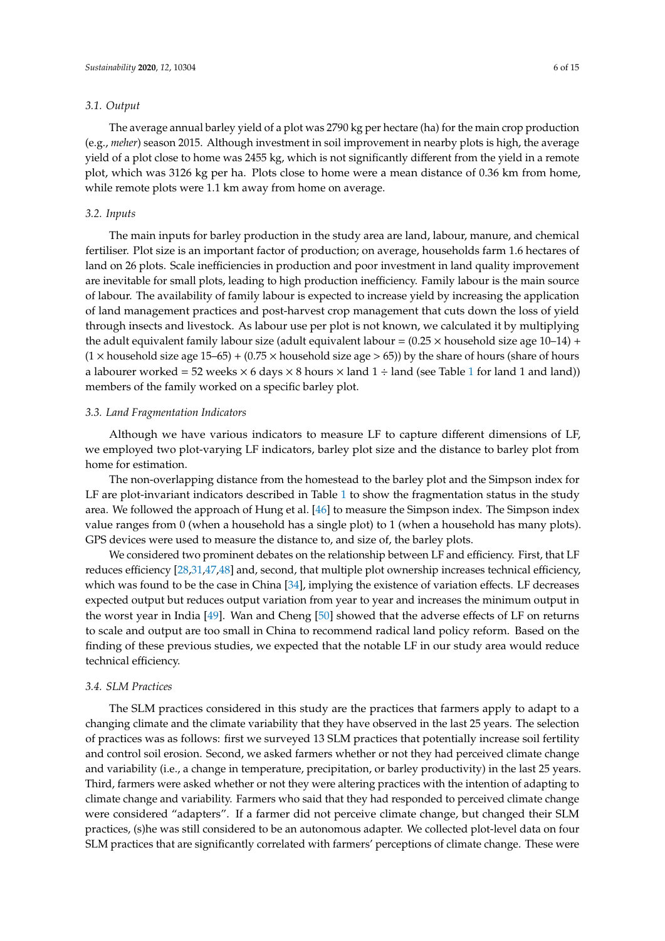### *3.1. Output*

The average annual barley yield of a plot was 2790 kg per hectare (ha) for the main crop production (e.g., *meher*) season 2015. Although investment in soil improvement in nearby plots is high, the average yield of a plot close to home was 2455 kg, which is not significantly different from the yield in a remote plot, which was 3126 kg per ha. Plots close to home were a mean distance of 0.36 km from home, while remote plots were 1.1 km away from home on average.

# *3.2. Inputs*

The main inputs for barley production in the study area are land, labour, manure, and chemical fertiliser. Plot size is an important factor of production; on average, households farm 1.6 hectares of land on 26 plots. Scale inefficiencies in production and poor investment in land quality improvement are inevitable for small plots, leading to high production inefficiency. Family labour is the main source of labour. The availability of family labour is expected to increase yield by increasing the application of land management practices and post-harvest crop management that cuts down the loss of yield through insects and livestock. As labour use per plot is not known, we calculated it by multiplying the adult equivalent family labour size (adult equivalent labour =  $(0.25 \times$  household size age 10–14) +  $(1 \times$  household size age  $15-65$ ) +  $(0.75 \times$  household size age > 65)) by the share of hours (share of hours a labourer worked = 52 weeks  $\times$  6 days  $\times$  8 hours  $\times$  land [1](#page-4-1) ÷ land (see Table 1 for land 1 and land)) members of the family worked on a specific barley plot.

## *3.3. Land Fragmentation Indicators*

Although we have various indicators to measure LF to capture different dimensions of LF, we employed two plot-varying LF indicators, barley plot size and the distance to barley plot from home for estimation.

The non-overlapping distance from the homestead to the barley plot and the Simpson index for LF are plot-invariant indicators described in Table [1](#page-4-1) to show the fragmentation status in the study area. We followed the approach of Hung et al. [\[46\]](#page-13-15) to measure the Simpson index. The Simpson index value ranges from 0 (when a household has a single plot) to 1 (when a household has many plots). GPS devices were used to measure the distance to, and size of, the barley plots.

We considered two prominent debates on the relationship between LF and efficiency. First, that LF reduces efficiency [\[28](#page-12-20)[,31](#page-13-0)[,47,](#page-13-16)[48\]](#page-13-17) and, second, that multiple plot ownership increases technical efficiency, which was found to be the case in China [\[34\]](#page-13-3), implying the existence of variation effects. LF decreases expected output but reduces output variation from year to year and increases the minimum output in the worst year in India [\[49\]](#page-13-18). Wan and Cheng [\[50\]](#page-13-19) showed that the adverse effects of LF on returns to scale and output are too small in China to recommend radical land policy reform. Based on the finding of these previous studies, we expected that the notable LF in our study area would reduce technical efficiency.

### *3.4. SLM Practices*

The SLM practices considered in this study are the practices that farmers apply to adapt to a changing climate and the climate variability that they have observed in the last 25 years. The selection of practices was as follows: first we surveyed 13 SLM practices that potentially increase soil fertility and control soil erosion. Second, we asked farmers whether or not they had perceived climate change and variability (i.e., a change in temperature, precipitation, or barley productivity) in the last 25 years. Third, farmers were asked whether or not they were altering practices with the intention of adapting to climate change and variability. Farmers who said that they had responded to perceived climate change were considered "adapters". If a farmer did not perceive climate change, but changed their SLM practices, (s)he was still considered to be an autonomous adapter. We collected plot-level data on four SLM practices that are significantly correlated with farmers' perceptions of climate change. These were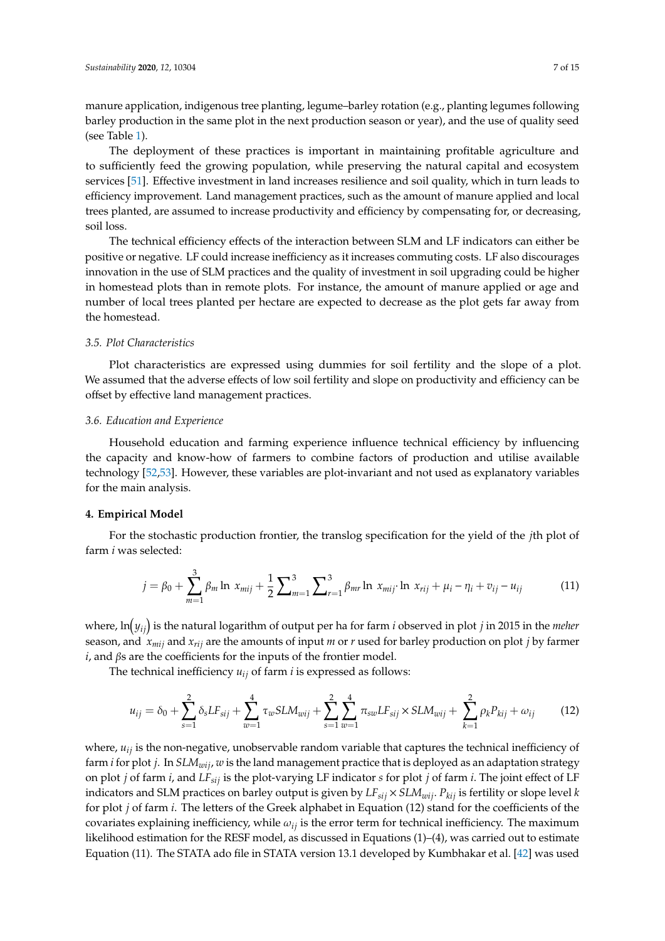manure application, indigenous tree planting, legume–barley rotation (e.g., planting legumes following barley production in the same plot in the next production season or year), and the use of quality seed (see Table [1\)](#page-4-1).

The deployment of these practices is important in maintaining profitable agriculture and to sufficiently feed the growing population, while preserving the natural capital and ecosystem services [\[51\]](#page-13-20). Effective investment in land increases resilience and soil quality, which in turn leads to efficiency improvement. Land management practices, such as the amount of manure applied and local trees planted, are assumed to increase productivity and efficiency by compensating for, or decreasing, soil loss.

The technical efficiency effects of the interaction between SLM and LF indicators can either be positive or negative. LF could increase inefficiency as it increases commuting costs. LF also discourages innovation in the use of SLM practices and the quality of investment in soil upgrading could be higher in homestead plots than in remote plots. For instance, the amount of manure applied or age and number of local trees planted per hectare are expected to decrease as the plot gets far away from the homestead.

#### *3.5. Plot Characteristics*

Plot characteristics are expressed using dummies for soil fertility and the slope of a plot. We assumed that the adverse effects of low soil fertility and slope on productivity and efficiency can be offset by effective land management practices.

## *3.6. Education and Experience*

Household education and farming experience influence technical efficiency by influencing the capacity and know-how of farmers to combine factors of production and utilise available technology [\[52,](#page-13-21)[53\]](#page-13-22). However, these variables are plot-invariant and not used as explanatory variables for the main analysis.

## <span id="page-6-0"></span>**4. Empirical Model**

For the stochastic production frontier, the translog specification for the yield of the *j*th plot of farm *i* was selected:

$$
j = \beta_0 + \sum_{m=1}^{3} \beta_m \ln x_{mij} + \frac{1}{2} \sum_{m=1}^{3} \sum_{r=1}^{3} \beta_{mr} \ln x_{mij} \cdot \ln x_{rij} + \mu_i - \eta_i + v_{ij} - u_{ij}
$$
(11)

where, ln *yij* is the natural logarithm of output per ha for farm *i* observed in plot *j* in 2015 in the *meher* season, and *xmij* and *xrij* are the amounts of input *m* or *r* used for barley production on plot *j* by farmer *i*, and βs are the coefficients for the inputs of the frontier model.

The technical inefficiency  $u_{ij}$  of farm  $i$  is expressed as follows:

$$
u_{ij} = \delta_0 + \sum_{s=1}^{2} \delta_s L F_{sij} + \sum_{w=1}^{4} \tau_w S L M_{wij} + \sum_{s=1}^{2} \sum_{w=1}^{4} \pi_{sw} L F_{sij} \times S L M_{wij} + \sum_{k=1}^{2} \rho_k P_{kij} + \omega_{ij}
$$
(12)

where, *uij* is the non-negative, unobservable random variable that captures the technical inefficiency of farm *i* for plot *j*. In *SLMwij*, *w* is the land management practice that is deployed as an adaptation strategy on plot *j* of farm *i*, and *LFsij* is the plot-varying LF indicator *s* for plot *j* of farm *i*. The joint effect of LF indicators and SLM practices on barley output is given by *LFsij* × *SLMwij*. *Pkij* is fertility or slope level *k* for plot *j* of farm *i*. The letters of the Greek alphabet in Equation (12) stand for the coefficients of the covariates explaining inefficiency, while  $\omega_{ij}$  is the error term for technical inefficiency. The maximum likelihood estimation for the RESF model, as discussed in Equations (1)–(4), was carried out to estimate Equation (11). The STATA ado file in STATA version 13.1 developed by Kumbhakar et al. [\[42\]](#page-13-11) was used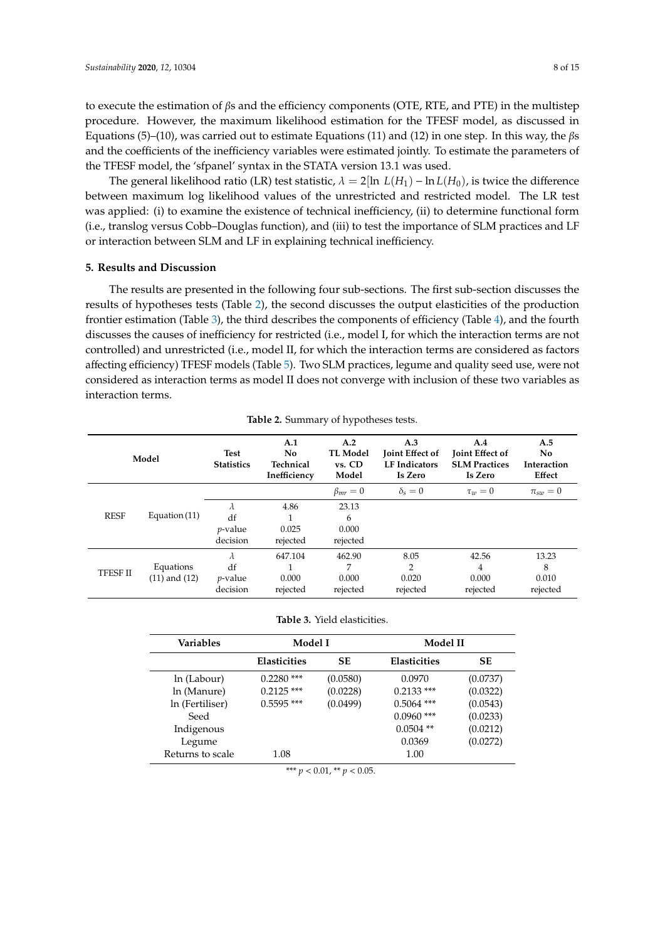to execute the estimation of  $\beta s$  and the efficiency components (OTE, RTE, and PTE) in the multistep procedure. However, the maximum likelihood estimation for the TFESF model, as discussed in Equations (5)–(10), was carried out to estimate Equations (11) and (12) in one step. In this way, the  $\beta s$ and the coefficients of the inefficiency variables were estimated jointly. To estimate the parameters of the TFESF model, the 'sfpanel' syntax in the STATA version 13.1 was used.

The general likelihood ratio (LR) test statistic,  $\lambda = 2 \ln L(H_1) - \ln L(H_0)$ , is twice the difference between maximum log likelihood values of the unrestricted and restricted model. The LR test was applied: (i) to examine the existence of technical inefficiency, (ii) to determine functional form (i.e., translog versus Cobb–Douglas function), and (iii) to test the importance of SLM practices and LF or interaction between SLM and LF in explaining technical inefficiency.

# <span id="page-7-0"></span>**5. Results and Discussion**

The results are presented in the following four sub-sections. The first sub-section discusses the results of hypotheses tests (Table [2\)](#page-7-1), the second discusses the output elasticities of the production frontier estimation (Table [3\)](#page-7-2), the third describes the components of efficiency (Table [4\)](#page-8-0), and the fourth discusses the causes of inefficiency for restricted (i.e., model I, for which the interaction terms are not controlled) and unrestricted (i.e., model II, for which the interaction terms are considered as factors affecting efficiency) TFESF models (Table [5\)](#page-8-1). Two SLM practices, legume and quality seed use, were not considered as interaction terms as model II does not converge with inclusion of these two variables as interaction terms.

<span id="page-7-1"></span>

| Model           |                   | <b>Test</b><br><b>Statistics</b> | A.1<br><b>No</b><br>Technical<br>Inefficiency | A.2<br><b>TL Model</b><br>vs. CD<br>Model | A.3<br><b>Joint Effect of</b><br><b>LF</b> Indicators<br>Is Zero | A.4<br><b>Joint Effect of</b><br><b>SLM Practices</b><br>Is Zero | A.5<br>No<br>Interaction<br>Effect |
|-----------------|-------------------|----------------------------------|-----------------------------------------------|-------------------------------------------|------------------------------------------------------------------|------------------------------------------------------------------|------------------------------------|
|                 |                   |                                  |                                               | $\beta_{mr}=0$                            | $\delta_s=0$                                                     | $\tau_{w}=0$                                                     | $\pi_{sw} = 0$                     |
|                 | Equation $(11)$   | $\lambda$                        | 4.86                                          | 23.13                                     |                                                                  |                                                                  |                                    |
| <b>RESF</b>     |                   | df                               |                                               | 6                                         |                                                                  |                                                                  |                                    |
|                 |                   | <i>p</i> -value                  | 0.025                                         | 0.000                                     |                                                                  |                                                                  |                                    |
|                 |                   | decision                         | rejected                                      | rejected                                  |                                                                  |                                                                  |                                    |
| <b>TFESF II</b> |                   | λ                                | 647.104                                       | 462.90                                    | 8.05                                                             | 42.56                                                            | 13.23                              |
|                 | Equations         | df                               |                                               | 7                                         | $\overline{2}$                                                   | 4                                                                | 8                                  |
|                 | $(11)$ and $(12)$ | $\nu$ -value                     | 0.000                                         | 0.000                                     | 0.020                                                            | 0.000                                                            | 0.010                              |
|                 |                   | decision                         | rejected                                      | rejected                                  | rejected                                                         | rejected                                                         | rejected                           |

**Table 2.** Summary of hypotheses tests.

<span id="page-7-2"></span>

| Variables        | Model I             |           | Model II            |           |  |
|------------------|---------------------|-----------|---------------------|-----------|--|
|                  | <b>Elasticities</b> | <b>SE</b> | <b>Elasticities</b> | <b>SE</b> |  |
| ln (Labour)      | $0.2280$ ***        | (0.0580)  | 0.0970              | (0.0737)  |  |
| ln (Manure)      | $0.2125$ ***        | (0.0228)  | $0.2133$ ***        | (0.0322)  |  |
| In (Fertiliser)  | $0.5595$ ***        | (0.0499)  | $0.5064$ ***        | (0.0543)  |  |
| Seed             |                     |           | $0.0960$ ***        | (0.0233)  |  |
| Indigenous       |                     |           | $0.0504$ **         | (0.0212)  |  |
| Legume           |                     |           | 0.0369              | (0.0272)  |  |
| Returns to scale | 1.08                |           | 1.00                |           |  |

\*\*\* *p* < 0.01, \*\* *p* < 0.05.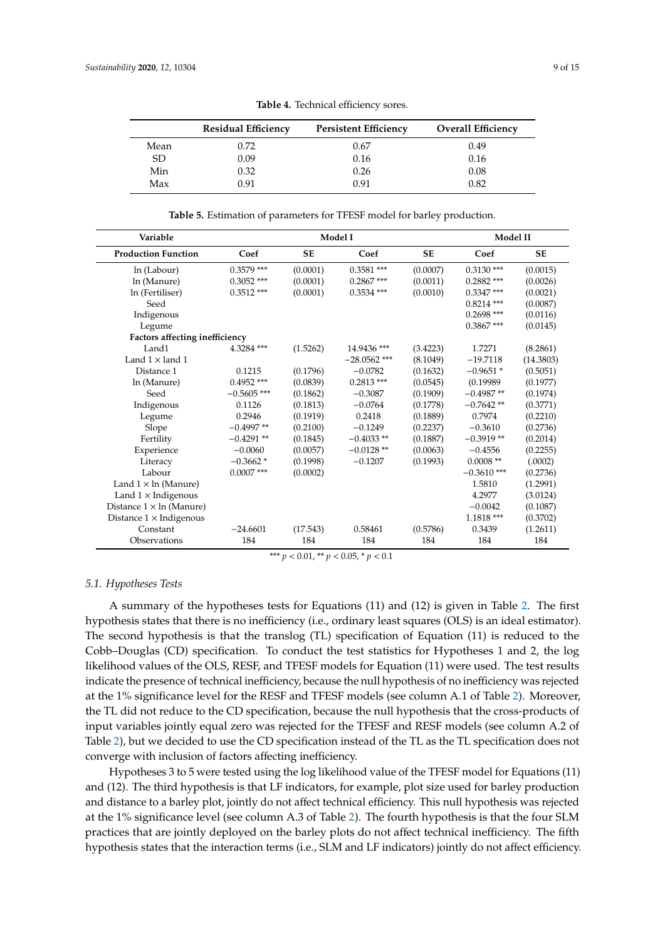<span id="page-8-0"></span>

|      | <b>Residual Efficiency</b> | <b>Persistent Efficiency</b> | <b>Overall Efficiency</b> |
|------|----------------------------|------------------------------|---------------------------|
| Mean | 0.72                       | 0.67                         | 0.49                      |
| SD.  | 0.09                       | 0.16                         | 0.16                      |
| Min  | 0.32                       | 0.26                         | 0.08                      |
| Max  | 0.91                       | በ 91                         | 0.82                      |

**Table 4.** Technical efficiency sores.

**Table 5.** Estimation of parameters for TFESF model for barley production.

<span id="page-8-1"></span>

| Variable                         |               | Model I   | Model II       |           |               |           |
|----------------------------------|---------------|-----------|----------------|-----------|---------------|-----------|
| <b>Production Function</b>       | Coef          | <b>SE</b> | Coef           | <b>SE</b> | Coef          | <b>SE</b> |
| ln (Labour)                      | $0.3579$ ***  | (0.0001)  | $0.3581$ ***   | (0.0007)  | $0.3130$ ***  | (0.0015)  |
| ln (Manure)                      | $0.3052$ ***  | (0.0001)  | $0.2867$ ***   | (0.0011)  | $0.2882$ ***  | (0.0026)  |
| ln (Fertiliser)                  | $0.3512$ ***  | (0.0001)  | $0.3534$ ***   | (0.0010)  | $0.3347$ ***  | (0.0021)  |
| Seed                             |               |           |                |           | $0.8214$ ***  | (0.0087)  |
| Indigenous                       |               |           |                |           | $0.2698$ ***  | (0.0116)  |
| Legume                           |               |           |                |           | $0.3867$ ***  | (0.0145)  |
| Factors affecting inefficiency   |               |           |                |           |               |           |
| Land1                            | 4.3284 ***    | (1.5262)  | 14.9436 ***    | (3.4223)  | 1.7271        | (8.2861)  |
| Land $1 \times$ land $1$         |               |           | $-28.0562$ *** | (8.1049)  | $-19.7118$    | (14.3803) |
| Distance 1                       | 0.1215        | (0.1796)  | $-0.0782$      | (0.1632)  | $-0.9651*$    | (0.5051)  |
| ln (Manure)                      | $0.4952$ ***  | (0.0839)  | $0.2813$ ***   | (0.0545)  | (0.19989)     | (0.1977)  |
| Seed                             | $-0.5605$ *** | (0.1862)  | $-0.3087$      | (0.1909)  | $-0.4987**$   | (0.1974)  |
| Indigenous                       | 0.1126        | (0.1813)  | $-0.0764$      | (0.1778)  | $-0.7642**$   | (0.3771)  |
| Legume                           | 0.2946        | (0.1919)  | 0.2418         | (0.1889)  | 0.7974        | (0.2210)  |
| Slope                            | $-0.4997**$   | (0.2100)  | $-0.1249$      | (0.2237)  | $-0.3610$     | (0.2736)  |
| Fertility                        | $-0.4291**$   | (0.1845)  | $-0.4033**$    | (0.1887)  | $-0.3919**$   | (0.2014)  |
| Experience                       | $-0.0060$     | (0.0057)  | $-0.0128**$    | (0.0063)  | $-0.4556$     | (0.2255)  |
| Literacy                         | $-0.3662*$    | (0.1998)  | $-0.1207$      | (0.1993)  | $0.0008**$    | (.0002)   |
| Labour                           | $0.0007$ ***  | (0.0002)  |                |           | $-0.3610$ *** | (0.2736)  |
| Land $1 \times \ln$ (Manure)     |               |           |                |           | 1.5810        | (1.2991)  |
| Land $1 \times$ Indigenous       |               |           |                |           | 4.2977        | (3.0124)  |
| Distance $1 \times \ln$ (Manure) |               |           |                |           | $-0.0042$     | (0.1087)  |
| Distance $1 \times$ Indigenous   |               |           |                |           | $1.1818\;***$ | (0.3702)  |
| Constant                         | $-24.6601$    | (17.543)  | 0.58461        | (0.5786)  | 0.3439        | (1.2611)  |
| Observations                     | 184           | 184       | 184            | 184       | 184           | 184       |

\*\*\* *p* < 0.01, \*\* *p* < 0.05, \* *p* < 0.1

#### *5.1. Hypotheses Tests*

A summary of the hypotheses tests for Equations (11) and (12) is given in Table [2.](#page-7-1) The first hypothesis states that there is no inefficiency (i.e., ordinary least squares (OLS) is an ideal estimator). The second hypothesis is that the translog (TL) specification of Equation (11) is reduced to the Cobb–Douglas (CD) specification. To conduct the test statistics for Hypotheses 1 and 2, the log likelihood values of the OLS, RESF, and TFESF models for Equation (11) were used. The test results indicate the presence of technical inefficiency, because the null hypothesis of no inefficiency was rejected at the 1% significance level for the RESF and TFESF models (see column A.1 of Table [2\)](#page-7-1). Moreover, the TL did not reduce to the CD specification, because the null hypothesis that the cross-products of input variables jointly equal zero was rejected for the TFESF and RESF models (see column A.2 of Table [2\)](#page-7-1), but we decided to use the CD specification instead of the TL as the TL specification does not converge with inclusion of factors affecting inefficiency.

Hypotheses 3 to 5 were tested using the log likelihood value of the TFESF model for Equations (11) and (12). The third hypothesis is that LF indicators, for example, plot size used for barley production and distance to a barley plot, jointly do not affect technical efficiency. This null hypothesis was rejected at the 1% significance level (see column A.3 of Table [2\)](#page-7-1). The fourth hypothesis is that the four SLM practices that are jointly deployed on the barley plots do not affect technical inefficiency. The fifth hypothesis states that the interaction terms (i.e., SLM and LF indicators) jointly do not affect efficiency.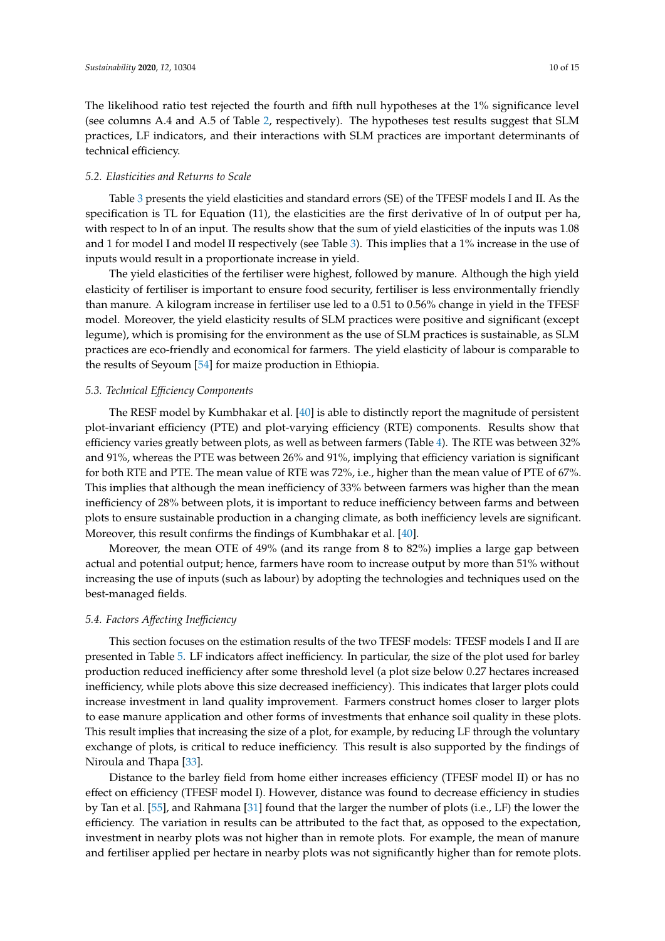The likelihood ratio test rejected the fourth and fifth null hypotheses at the 1% significance level (see columns A.4 and A.5 of Table [2,](#page-7-1) respectively). The hypotheses test results suggest that SLM practices, LF indicators, and their interactions with SLM practices are important determinants of technical efficiency.

#### *5.2. Elasticities and Returns to Scale*

Table [3](#page-7-2) presents the yield elasticities and standard errors (SE) of the TFESF models I and II. As the specification is TL for Equation (11), the elasticities are the first derivative of ln of output per ha, with respect to ln of an input. The results show that the sum of yield elasticities of the inputs was 1.08 and 1 for model I and model II respectively (see Table [3\)](#page-7-2). This implies that a 1% increase in the use of inputs would result in a proportionate increase in yield.

The yield elasticities of the fertiliser were highest, followed by manure. Although the high yield elasticity of fertiliser is important to ensure food security, fertiliser is less environmentally friendly than manure. A kilogram increase in fertiliser use led to a 0.51 to 0.56% change in yield in the TFESF model. Moreover, the yield elasticity results of SLM practices were positive and significant (except legume), which is promising for the environment as the use of SLM practices is sustainable, as SLM practices are eco-friendly and economical for farmers. The yield elasticity of labour is comparable to the results of Seyoum [\[54\]](#page-13-23) for maize production in Ethiopia.

## *5.3. Technical E*ffi*ciency Components*

The RESF model by Kumbhakar et al. [\[40\]](#page-13-9) is able to distinctly report the magnitude of persistent plot-invariant efficiency (PTE) and plot-varying efficiency (RTE) components. Results show that efficiency varies greatly between plots, as well as between farmers (Table [4\)](#page-8-0). The RTE was between 32% and 91%, whereas the PTE was between 26% and 91%, implying that efficiency variation is significant for both RTE and PTE. The mean value of RTE was 72%, i.e., higher than the mean value of PTE of 67%. This implies that although the mean inefficiency of 33% between farmers was higher than the mean inefficiency of 28% between plots, it is important to reduce inefficiency between farms and between plots to ensure sustainable production in a changing climate, as both inefficiency levels are significant. Moreover, this result confirms the findings of Kumbhakar et al. [\[40\]](#page-13-9).

Moreover, the mean OTE of 49% (and its range from 8 to 82%) implies a large gap between actual and potential output; hence, farmers have room to increase output by more than 51% without increasing the use of inputs (such as labour) by adopting the technologies and techniques used on the best-managed fields.

#### *5.4. Factors A*ff*ecting Ine*ffi*ciency*

This section focuses on the estimation results of the two TFESF models: TFESF models I and II are presented in Table [5.](#page-8-1) LF indicators affect inefficiency. In particular, the size of the plot used for barley production reduced inefficiency after some threshold level (a plot size below 0.27 hectares increased inefficiency, while plots above this size decreased inefficiency). This indicates that larger plots could increase investment in land quality improvement. Farmers construct homes closer to larger plots to ease manure application and other forms of investments that enhance soil quality in these plots. This result implies that increasing the size of a plot, for example, by reducing LF through the voluntary exchange of plots, is critical to reduce inefficiency. This result is also supported by the findings of Niroula and Thapa [\[33\]](#page-13-2).

Distance to the barley field from home either increases efficiency (TFESF model II) or has no effect on efficiency (TFESF model I). However, distance was found to decrease efficiency in studies by Tan et al. [\[55\]](#page-13-24), and Rahmana [\[31\]](#page-13-0) found that the larger the number of plots (i.e., LF) the lower the efficiency. The variation in results can be attributed to the fact that, as opposed to the expectation, investment in nearby plots was not higher than in remote plots. For example, the mean of manure and fertiliser applied per hectare in nearby plots was not significantly higher than for remote plots.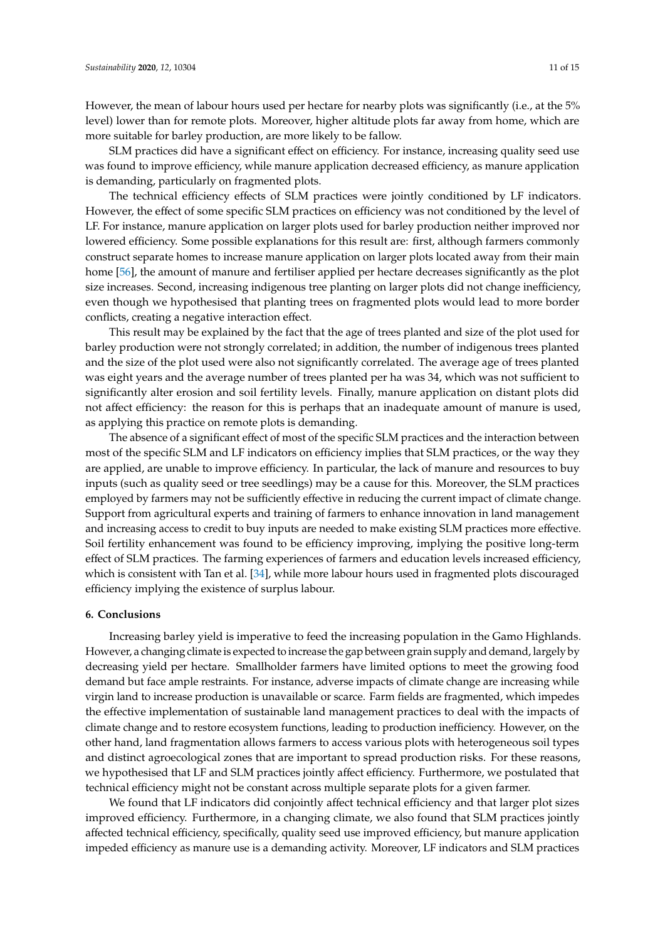SLM practices did have a significant effect on efficiency. For instance, increasing quality seed use was found to improve efficiency, while manure application decreased efficiency, as manure application is demanding, particularly on fragmented plots.

The technical efficiency effects of SLM practices were jointly conditioned by LF indicators. However, the effect of some specific SLM practices on efficiency was not conditioned by the level of LF. For instance, manure application on larger plots used for barley production neither improved nor lowered efficiency. Some possible explanations for this result are: first, although farmers commonly construct separate homes to increase manure application on larger plots located away from their main home [\[56\]](#page-14-0), the amount of manure and fertiliser applied per hectare decreases significantly as the plot size increases. Second, increasing indigenous tree planting on larger plots did not change inefficiency, even though we hypothesised that planting trees on fragmented plots would lead to more border conflicts, creating a negative interaction effect.

This result may be explained by the fact that the age of trees planted and size of the plot used for barley production were not strongly correlated; in addition, the number of indigenous trees planted and the size of the plot used were also not significantly correlated. The average age of trees planted was eight years and the average number of trees planted per ha was 34, which was not sufficient to significantly alter erosion and soil fertility levels. Finally, manure application on distant plots did not affect efficiency: the reason for this is perhaps that an inadequate amount of manure is used, as applying this practice on remote plots is demanding.

The absence of a significant effect of most of the specific SLM practices and the interaction between most of the specific SLM and LF indicators on efficiency implies that SLM practices, or the way they are applied, are unable to improve efficiency. In particular, the lack of manure and resources to buy inputs (such as quality seed or tree seedlings) may be a cause for this. Moreover, the SLM practices employed by farmers may not be sufficiently effective in reducing the current impact of climate change. Support from agricultural experts and training of farmers to enhance innovation in land management and increasing access to credit to buy inputs are needed to make existing SLM practices more effective. Soil fertility enhancement was found to be efficiency improving, implying the positive long-term effect of SLM practices. The farming experiences of farmers and education levels increased efficiency, which is consistent with Tan et al. [\[34\]](#page-13-3), while more labour hours used in fragmented plots discouraged efficiency implying the existence of surplus labour.

#### <span id="page-10-0"></span>**6. Conclusions**

Increasing barley yield is imperative to feed the increasing population in the Gamo Highlands. However, a changing climate is expected to increase the gap between grain supply and demand, largely by decreasing yield per hectare. Smallholder farmers have limited options to meet the growing food demand but face ample restraints. For instance, adverse impacts of climate change are increasing while virgin land to increase production is unavailable or scarce. Farm fields are fragmented, which impedes the effective implementation of sustainable land management practices to deal with the impacts of climate change and to restore ecosystem functions, leading to production inefficiency. However, on the other hand, land fragmentation allows farmers to access various plots with heterogeneous soil types and distinct agroecological zones that are important to spread production risks. For these reasons, we hypothesised that LF and SLM practices jointly affect efficiency. Furthermore, we postulated that technical efficiency might not be constant across multiple separate plots for a given farmer.

We found that LF indicators did conjointly affect technical efficiency and that larger plot sizes improved efficiency. Furthermore, in a changing climate, we also found that SLM practices jointly affected technical efficiency, specifically, quality seed use improved efficiency, but manure application impeded efficiency as manure use is a demanding activity. Moreover, LF indicators and SLM practices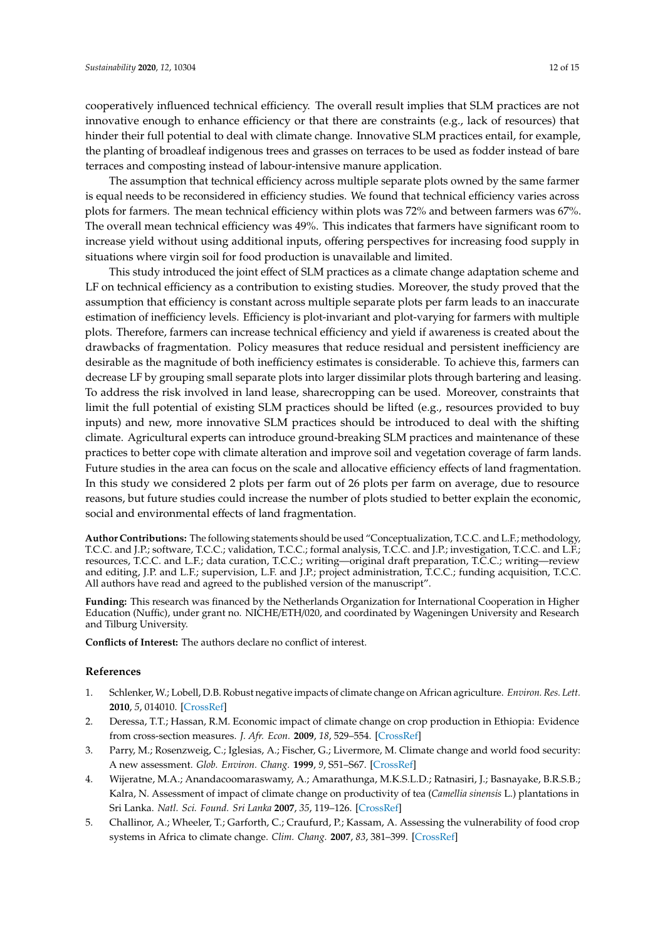cooperatively influenced technical efficiency. The overall result implies that SLM practices are not innovative enough to enhance efficiency or that there are constraints (e.g., lack of resources) that hinder their full potential to deal with climate change. Innovative SLM practices entail, for example, the planting of broadleaf indigenous trees and grasses on terraces to be used as fodder instead of bare terraces and composting instead of labour-intensive manure application.

The assumption that technical efficiency across multiple separate plots owned by the same farmer is equal needs to be reconsidered in efficiency studies. We found that technical efficiency varies across plots for farmers. The mean technical efficiency within plots was 72% and between farmers was 67%. The overall mean technical efficiency was 49%. This indicates that farmers have significant room to increase yield without using additional inputs, offering perspectives for increasing food supply in situations where virgin soil for food production is unavailable and limited.

This study introduced the joint effect of SLM practices as a climate change adaptation scheme and LF on technical efficiency as a contribution to existing studies. Moreover, the study proved that the assumption that efficiency is constant across multiple separate plots per farm leads to an inaccurate estimation of inefficiency levels. Efficiency is plot-invariant and plot-varying for farmers with multiple plots. Therefore, farmers can increase technical efficiency and yield if awareness is created about the drawbacks of fragmentation. Policy measures that reduce residual and persistent inefficiency are desirable as the magnitude of both inefficiency estimates is considerable. To achieve this, farmers can decrease LF by grouping small separate plots into larger dissimilar plots through bartering and leasing. To address the risk involved in land lease, sharecropping can be used. Moreover, constraints that limit the full potential of existing SLM practices should be lifted (e.g., resources provided to buy inputs) and new, more innovative SLM practices should be introduced to deal with the shifting climate. Agricultural experts can introduce ground-breaking SLM practices and maintenance of these practices to better cope with climate alteration and improve soil and vegetation coverage of farm lands. Future studies in the area can focus on the scale and allocative efficiency effects of land fragmentation. In this study we considered 2 plots per farm out of 26 plots per farm on average, due to resource reasons, but future studies could increase the number of plots studied to better explain the economic, social and environmental effects of land fragmentation.

**Author Contributions:** The following statements should be used "Conceptualization, T.C.C. and L.F.; methodology, T.C.C. and J.P.; software, T.C.C.; validation, T.C.C.; formal analysis, T.C.C. and J.P.; investigation, T.C.C. and L.F.; resources, T.C.C. and L.F.; data curation, T.C.C.; writing—original draft preparation, T.C.C.; writing—review and editing, J.P. and L.F.; supervision, L.F. and J.P.; project administration, T.C.C.; funding acquisition, T.C.C. All authors have read and agreed to the published version of the manuscript".

**Funding:** This research was financed by the Netherlands Organization for International Cooperation in Higher Education (Nuffic), under grant no. NICHE/ETH/020, and coordinated by Wageningen University and Research and Tilburg University.

**Conflicts of Interest:** The authors declare no conflict of interest.

## **References**

- <span id="page-11-0"></span>1. Schlenker, W.; Lobell, D.B. Robust negative impacts of climate change on African agriculture. *Environ. Res. Lett.* **2010**, *5*, 014010. [\[CrossRef\]](http://dx.doi.org/10.1088/1748-9326/5/1/014010)
- <span id="page-11-1"></span>2. Deressa, T.T.; Hassan, R.M. Economic impact of climate change on crop production in Ethiopia: Evidence from cross-section measures. *J. Afr. Econ.* **2009**, *18*, 529–554. [\[CrossRef\]](http://dx.doi.org/10.1093/jae/ejp002)
- <span id="page-11-2"></span>3. Parry, M.; Rosenzweig, C.; Iglesias, A.; Fischer, G.; Livermore, M. Climate change and world food security: A new assessment. *Glob. Environ. Chang.* **1999**, *9*, S51–S67. [\[CrossRef\]](http://dx.doi.org/10.1016/S0959-3780(99)00018-7)
- <span id="page-11-3"></span>4. Wijeratne, M.A.; Anandacoomaraswamy, A.; Amarathunga, M.K.S.L.D.; Ratnasiri, J.; Basnayake, B.R.S.B.; Kalra, N. Assessment of impact of climate change on productivity of tea (*Camellia sinensis* L.) plantations in Sri Lanka. *Natl. Sci. Found. Sri Lanka* **2007**, *35*, 119–126. [\[CrossRef\]](http://dx.doi.org/10.4038/jnsfsr.v35i2.3676)
- <span id="page-11-4"></span>5. Challinor, A.; Wheeler, T.; Garforth, C.; Craufurd, P.; Kassam, A. Assessing the vulnerability of food crop systems in Africa to climate change. *Clim. Chang.* **2007**, *83*, 381–399. [\[CrossRef\]](http://dx.doi.org/10.1007/s10584-007-9249-0)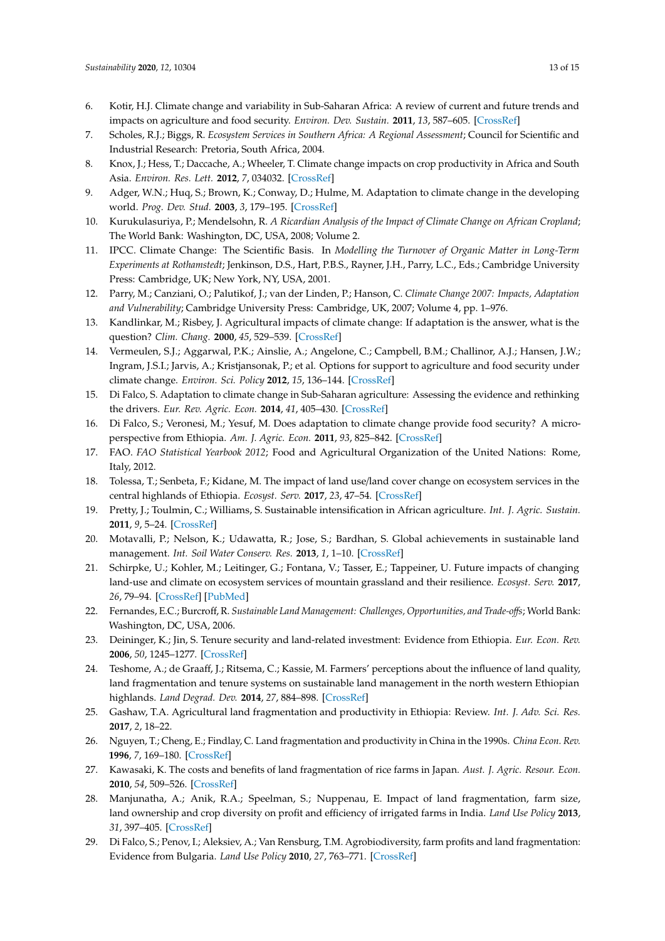- <span id="page-12-0"></span>6. Kotir, H.J. Climate change and variability in Sub-Saharan Africa: A review of current and future trends and impacts on agriculture and food security. *Environ. Dev. Sustain.* **2011**, *13*, 587–605. [\[CrossRef\]](http://dx.doi.org/10.1007/s10668-010-9278-0)
- <span id="page-12-1"></span>7. Scholes, R.J.; Biggs, R. *Ecosystem Services in Southern Africa: A Regional Assessment*; Council for Scientific and Industrial Research: Pretoria, South Africa, 2004.
- <span id="page-12-2"></span>8. Knox, J.; Hess, T.; Daccache, A.; Wheeler, T. Climate change impacts on crop productivity in Africa and South Asia. *Environ. Res. Lett.* **2012**, *7*, 034032. [\[CrossRef\]](http://dx.doi.org/10.1088/1748-9326/7/3/034032)
- <span id="page-12-3"></span>9. Adger, W.N.; Huq, S.; Brown, K.; Conway, D.; Hulme, M. Adaptation to climate change in the developing world. *Prog. Dev. Stud.* **2003**, *3*, 179–195. [\[CrossRef\]](http://dx.doi.org/10.1191/1464993403ps060oa)
- 10. Kurukulasuriya, P.; Mendelsohn, R. *A Ricardian Analysis of the Impact of Climate Change on African Cropland*; The World Bank: Washington, DC, USA, 2008; Volume 2.
- <span id="page-12-4"></span>11. IPCC. Climate Change: The Scientific Basis. In *Modelling the Turnover of Organic Matter in Long-Term Experiments at Rothamstedt*; Jenkinson, D.S., Hart, P.B.S., Rayner, J.H., Parry, L.C., Eds.; Cambridge University Press: Cambridge, UK; New York, NY, USA, 2001.
- <span id="page-12-5"></span>12. Parry, M.; Canziani, O.; Palutikof, J.; van der Linden, P.; Hanson, C. *Climate Change 2007: Impacts, Adaptation and Vulnerability*; Cambridge University Press: Cambridge, UK, 2007; Volume 4, pp. 1–976.
- <span id="page-12-6"></span>13. Kandlinkar, M.; Risbey, J. Agricultural impacts of climate change: If adaptation is the answer, what is the question? *Clim. Chang.* **2000**, *45*, 529–539. [\[CrossRef\]](http://dx.doi.org/10.1023/A:1005546716266)
- <span id="page-12-7"></span>14. Vermeulen, S.J.; Aggarwal, P.K.; Ainslie, A.; Angelone, C.; Campbell, B.M.; Challinor, A.J.; Hansen, J.W.; Ingram, J.S.I.; Jarvis, A.; Kristjansonak, P.; et al. Options for support to agriculture and food security under climate change. *Environ. Sci. Policy* **2012**, *15*, 136–144. [\[CrossRef\]](http://dx.doi.org/10.1016/j.envsci.2011.09.003)
- <span id="page-12-8"></span>15. Di Falco, S. Adaptation to climate change in Sub-Saharan agriculture: Assessing the evidence and rethinking the drivers. *Eur. Rev. Agric. Econ.* **2014**, *41*, 405–430. [\[CrossRef\]](http://dx.doi.org/10.1093/erae/jbu014)
- <span id="page-12-9"></span>16. Di Falco, S.; Veronesi, M.; Yesuf, M. Does adaptation to climate change provide food security? A microperspective from Ethiopia. *Am. J. Agric. Econ.* **2011**, *93*, 825–842. [\[CrossRef\]](http://dx.doi.org/10.1093/ajae/aar006)
- <span id="page-12-10"></span>17. FAO. *FAO Statistical Yearbook 2012*; Food and Agricultural Organization of the United Nations: Rome, Italy, 2012.
- <span id="page-12-11"></span>18. Tolessa, T.; Senbeta, F.; Kidane, M. The impact of land use/land cover change on ecosystem services in the central highlands of Ethiopia. *Ecosyst. Serv.* **2017**, *23*, 47–54. [\[CrossRef\]](http://dx.doi.org/10.1016/j.ecoser.2016.11.010)
- <span id="page-12-12"></span>19. Pretty, J.; Toulmin, C.; Williams, S. Sustainable intensification in African agriculture. *Int. J. Agric. Sustain.* **2011**, *9*, 5–24. [\[CrossRef\]](http://dx.doi.org/10.3763/ijas.2010.0583)
- <span id="page-12-13"></span>20. Motavalli, P.; Nelson, K.; Udawatta, R.; Jose, S.; Bardhan, S. Global achievements in sustainable land management. *Int. Soil Water Conserv. Res.* **2013**, *1*, 1–10. [\[CrossRef\]](http://dx.doi.org/10.1016/S2095-6339(15)30044-7)
- 21. Schirpke, U.; Kohler, M.; Leitinger, G.; Fontana, V.; Tasser, E.; Tappeiner, U. Future impacts of changing land-use and climate on ecosystem services of mountain grassland and their resilience. *Ecosyst. Serv.* **2017**, *26*, 79–94. [\[CrossRef\]](http://dx.doi.org/10.1016/j.ecoser.2017.06.008) [\[PubMed\]](http://www.ncbi.nlm.nih.gov/pubmed/31110934)
- <span id="page-12-14"></span>22. Fernandes, E.C.; Burcroff, R. *Sustainable Land Management: Challenges, Opportunities, and Trade-o*ff*s*; World Bank: Washington, DC, USA, 2006.
- <span id="page-12-15"></span>23. Deininger, K.; Jin, S. Tenure security and land-related investment: Evidence from Ethiopia. *Eur. Econ. Rev.* **2006**, *50*, 1245–1277. [\[CrossRef\]](http://dx.doi.org/10.1016/j.euroecorev.2005.02.001)
- <span id="page-12-16"></span>24. Teshome, A.; de Graaff, J.; Ritsema, C.; Kassie, M. Farmers' perceptions about the influence of land quality, land fragmentation and tenure systems on sustainable land management in the north western Ethiopian highlands. *Land Degrad. Dev.* **2014**, *27*, 884–898. [\[CrossRef\]](http://dx.doi.org/10.1002/ldr.2298)
- <span id="page-12-17"></span>25. Gashaw, T.A. Agricultural land fragmentation and productivity in Ethiopia: Review. *Int. J. Adv. Sci. Res.* **2017**, *2*, 18–22.
- <span id="page-12-18"></span>26. Nguyen, T.; Cheng, E.; Findlay, C. Land fragmentation and productivity in China in the 1990s. *China Econ. Rev.* **1996**, *7*, 169–180. [\[CrossRef\]](http://dx.doi.org/10.1016/S1043-951X(96)90007-3)
- <span id="page-12-19"></span>27. Kawasaki, K. The costs and benefits of land fragmentation of rice farms in Japan. *Aust. J. Agric. Resour. Econ.* **2010**, *54*, 509–526. [\[CrossRef\]](http://dx.doi.org/10.1111/j.1467-8489.2010.00509.x)
- <span id="page-12-20"></span>28. Manjunatha, A.; Anik, R.A.; Speelman, S.; Nuppenau, E. Impact of land fragmentation, farm size, land ownership and crop diversity on profit and efficiency of irrigated farms in India. *Land Use Policy* **2013**, *31*, 397–405. [\[CrossRef\]](http://dx.doi.org/10.1016/j.landusepol.2012.08.005)
- 29. Di Falco, S.; Penov, I.; Aleksiev, A.; Van Rensburg, T.M. Agrobiodiversity, farm profits and land fragmentation: Evidence from Bulgaria. *Land Use Policy* **2010**, *27*, 763–771. [\[CrossRef\]](http://dx.doi.org/10.1016/j.landusepol.2009.10.007)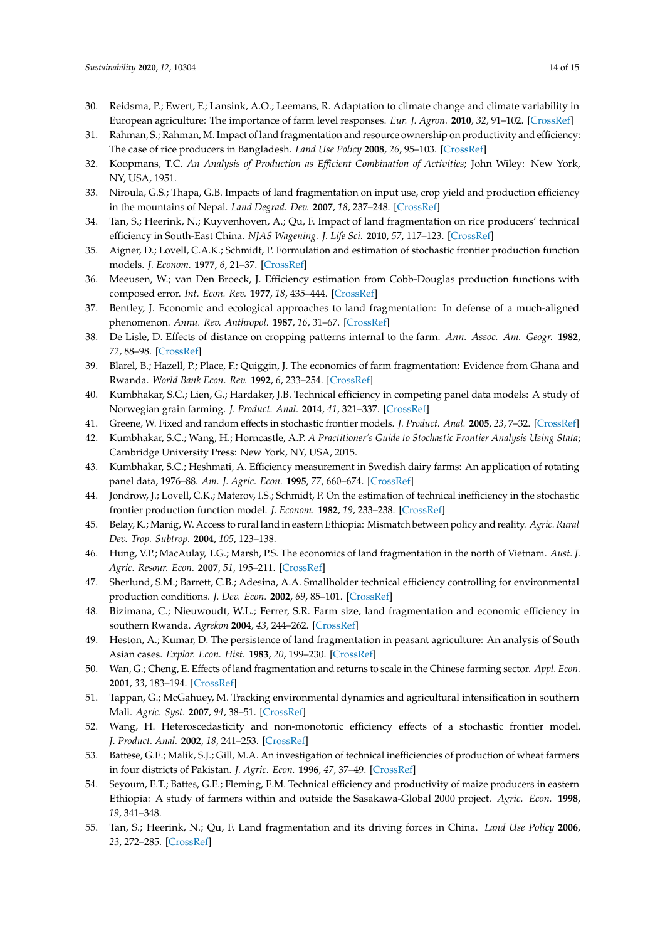- 30. Reidsma, P.; Ewert, F.; Lansink, A.O.; Leemans, R. Adaptation to climate change and climate variability in European agriculture: The importance of farm level responses. *Eur. J. Agron.* **2010**, *32*, 91–102. [\[CrossRef\]](http://dx.doi.org/10.1016/j.eja.2009.06.003)
- <span id="page-13-0"></span>31. Rahman, S.; Rahman, M. Impact of land fragmentation and resource ownership on productivity and efficiency: The case of rice producers in Bangladesh. *Land Use Policy* **2008**, *26*, 95–103. [\[CrossRef\]](http://dx.doi.org/10.1016/j.landusepol.2008.01.003)
- <span id="page-13-1"></span>32. Koopmans, T.C. *An Analysis of Production as E*ffi*cient Combination of Activities*; John Wiley: New York, NY, USA, 1951.
- <span id="page-13-2"></span>33. Niroula, G.S.; Thapa, G.B. Impacts of land fragmentation on input use, crop yield and production efficiency in the mountains of Nepal. *Land Degrad. Dev.* **2007**, *18*, 237–248. [\[CrossRef\]](http://dx.doi.org/10.1002/ldr.771)
- <span id="page-13-3"></span>34. Tan, S.; Heerink, N.; Kuyvenhoven, A.; Qu, F. Impact of land fragmentation on rice producers' technical efficiency in South-East China. *NJAS Wagening. J. Life Sci.* **2010**, *57*, 117–123. [\[CrossRef\]](http://dx.doi.org/10.1016/j.njas.2010.02.001)
- <span id="page-13-4"></span>35. Aigner, D.; Lovell, C.A.K.; Schmidt, P. Formulation and estimation of stochastic frontier production function models. *J. Econom.* **1977**, *6*, 21–37. [\[CrossRef\]](http://dx.doi.org/10.1016/0304-4076(77)90052-5)
- <span id="page-13-5"></span>36. Meeusen, W.; van Den Broeck, J. Efficiency estimation from Cobb-Douglas production functions with composed error. *Int. Econ. Rev.* **1977**, *18*, 435–444. [\[CrossRef\]](http://dx.doi.org/10.2307/2525757)
- <span id="page-13-6"></span>37. Bentley, J. Economic and ecological approaches to land fragmentation: In defense of a much-aligned phenomenon. *Annu. Rev. Anthropol.* **1987**, *16*, 31–67. [\[CrossRef\]](http://dx.doi.org/10.1146/annurev.an.16.100187.000335)
- <span id="page-13-7"></span>38. De Lisle, D. Effects of distance on cropping patterns internal to the farm. *Ann. Assoc. Am. Geogr.* **1982**, *72*, 88–98. [\[CrossRef\]](http://dx.doi.org/10.1111/j.1467-8306.1982.tb01385.x)
- <span id="page-13-8"></span>39. Blarel, B.; Hazell, P.; Place, F.; Quiggin, J. The economics of farm fragmentation: Evidence from Ghana and Rwanda. *World Bank Econ. Rev.* **1992**, *6*, 233–254. [\[CrossRef\]](http://dx.doi.org/10.1093/wber/6.2.233)
- <span id="page-13-9"></span>40. Kumbhakar, S.C.; Lien, G.; Hardaker, J.B. Technical efficiency in competing panel data models: A study of Norwegian grain farming. *J. Product. Anal.* **2014**, *41*, 321–337. [\[CrossRef\]](http://dx.doi.org/10.1007/s11123-012-0303-1)
- <span id="page-13-10"></span>41. Greene, W. Fixed and random effects in stochastic frontier models. *J. Product. Anal.* **2005**, *23*, 7–32. [\[CrossRef\]](http://dx.doi.org/10.1007/s11123-004-8545-1)
- <span id="page-13-11"></span>42. Kumbhakar, S.C.; Wang, H.; Horncastle, A.P. *A Practitioner's Guide to Stochastic Frontier Analysis Using Stata*; Cambridge University Press: New York, NY, USA, 2015.
- <span id="page-13-12"></span>43. Kumbhakar, S.C.; Heshmati, A. Efficiency measurement in Swedish dairy farms: An application of rotating panel data, 1976–88. *Am. J. Agric. Econ.* **1995**, *77*, 660–674. [\[CrossRef\]](http://dx.doi.org/10.2307/1243233)
- <span id="page-13-13"></span>44. Jondrow, J.; Lovell, C.K.; Materov, I.S.; Schmidt, P. On the estimation of technical inefficiency in the stochastic frontier production function model. *J. Econom.* **1982**, *19*, 233–238. [\[CrossRef\]](http://dx.doi.org/10.1016/0304-4076(82)90004-5)
- <span id="page-13-14"></span>45. Belay, K.; Manig, W. Access to rural land in eastern Ethiopia: Mismatch between policy and reality. *Agric. Rural Dev. Trop. Subtrop.* **2004**, *105*, 123–138.
- <span id="page-13-15"></span>46. Hung, V.P.; MacAulay, T.G.; Marsh, P.S. The economics of land fragmentation in the north of Vietnam. *Aust. J. Agric. Resour. Econ.* **2007**, *51*, 195–211. [\[CrossRef\]](http://dx.doi.org/10.1111/j.1467-8489.2007.00378.x)
- <span id="page-13-16"></span>47. Sherlund, S.M.; Barrett, C.B.; Adesina, A.A. Smallholder technical efficiency controlling for environmental production conditions. *J. Dev. Econ.* **2002**, *69*, 85–101. [\[CrossRef\]](http://dx.doi.org/10.1016/S0304-3878(02)00054-8)
- <span id="page-13-17"></span>48. Bizimana, C.; Nieuwoudt, W.L.; Ferrer, S.R. Farm size, land fragmentation and economic efficiency in southern Rwanda. *Agrekon* **2004**, *43*, 244–262. [\[CrossRef\]](http://dx.doi.org/10.1080/03031853.2004.9523648)
- <span id="page-13-18"></span>49. Heston, A.; Kumar, D. The persistence of land fragmentation in peasant agriculture: An analysis of South Asian cases. *Explor. Econ. Hist.* **1983**, *20*, 199–230. [\[CrossRef\]](http://dx.doi.org/10.1016/0014-4983(83)90022-0)
- <span id="page-13-19"></span>50. Wan, G.; Cheng, E. Effects of land fragmentation and returns to scale in the Chinese farming sector. *Appl. Econ.* **2001**, *33*, 183–194. [\[CrossRef\]](http://dx.doi.org/10.1080/00036840121811)
- <span id="page-13-20"></span>51. Tappan, G.; McGahuey, M. Tracking environmental dynamics and agricultural intensification in southern Mali. *Agric. Syst.* **2007**, *94*, 38–51. [\[CrossRef\]](http://dx.doi.org/10.1016/j.agsy.2005.07.011)
- <span id="page-13-21"></span>52. Wang, H. Heteroscedasticity and non-monotonic efficiency effects of a stochastic frontier model. *J. Product. Anal.* **2002**, *18*, 241–253. [\[CrossRef\]](http://dx.doi.org/10.1023/A:1020638827640)
- <span id="page-13-22"></span>53. Battese, G.E.; Malik, S.J.; Gill, M.A. An investigation of technical inefficiencies of production of wheat farmers in four districts of Pakistan. *J. Agric. Econ.* **1996**, *47*, 37–49. [\[CrossRef\]](http://dx.doi.org/10.1111/j.1477-9552.1996.tb00670.x)
- <span id="page-13-23"></span>54. Seyoum, E.T.; Battes, G.E.; Fleming, E.M. Technical efficiency and productivity of maize producers in eastern Ethiopia: A study of farmers within and outside the Sasakawa-Global 2000 project. *Agric. Econ.* **1998**, *19*, 341–348.
- <span id="page-13-24"></span>55. Tan, S.; Heerink, N.; Qu, F. Land fragmentation and its driving forces in China. *Land Use Policy* **2006**, *23*, 272–285. [\[CrossRef\]](http://dx.doi.org/10.1016/j.landusepol.2004.12.001)